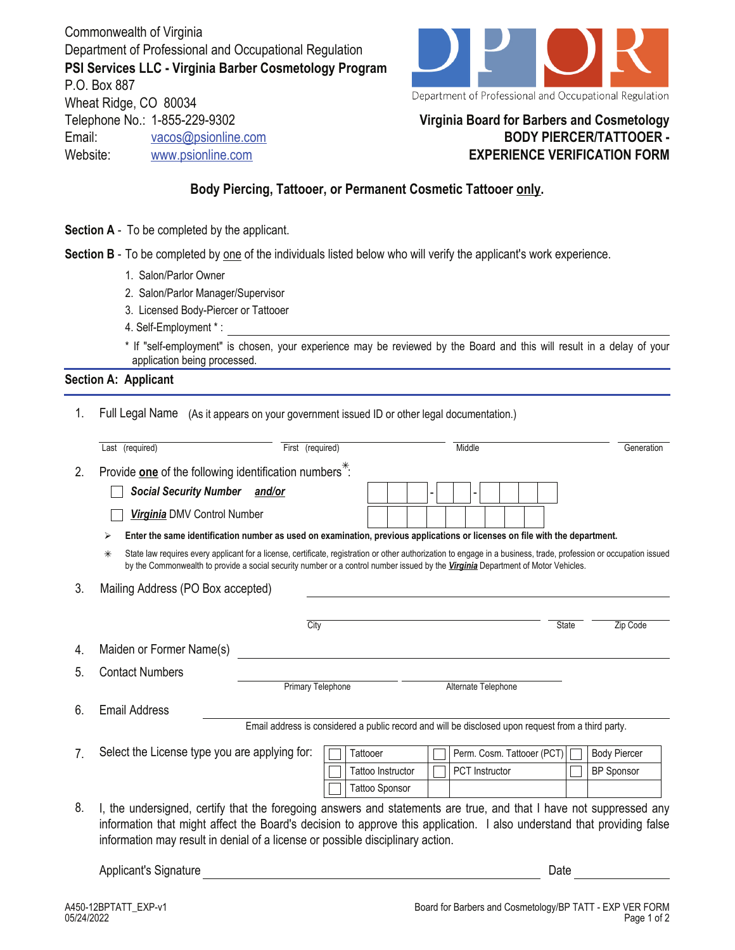Commonwealth of Virginia Department of Professional and Occupational Regulation **PSI Services LLC - Virginia Barber Cosmetology Program** P.O. Box 887 Wheat Ridge, CO 80034 Telephone No.: 1-855-229-9302 Email: vacos@psionline.com Website: www.psionline.com



## **Virginia Board for Barbers and Cosmetology BODY PIERCER/TATTOOER - EXPERIENCE VERIFICATION FORM**

## **Body Piercing, Tattooer, or Permanent Cosmetic Tattooer only.**

- **Section A** To be completed by the applicant.
- **Section B** To be completed by one of the individuals listed below who will verify the applicant's work experience.
	- 1. Salon/Parlor Owner
	- 2. Salon/Parlor Manager/Supervisor
	- 3. Licensed Body-Piercer or Tattooer
	- 4. Self-Employment \* :

\* If "self-employment" is chosen, your experience may be reviewed by the Board and this will result in a delay of your application being processed.

## **Section A: Applicant**

1. Full Legal Name (As it appears on your government issued ID or other legal documentation.)

|                                         | Last (required)                                                                                                                                                                                                                                                                                                                | First (required)                                                                                   |  |                          |  | Middle |                            |              | Generation          |  |
|-----------------------------------------|--------------------------------------------------------------------------------------------------------------------------------------------------------------------------------------------------------------------------------------------------------------------------------------------------------------------------------|----------------------------------------------------------------------------------------------------|--|--------------------------|--|--------|----------------------------|--------------|---------------------|--|
| 2.                                      | Provide one of the following identification numbers <sup>*</sup> :                                                                                                                                                                                                                                                             |                                                                                                    |  |                          |  |        |                            |              |                     |  |
|                                         | Social Security Number and/or                                                                                                                                                                                                                                                                                                  |                                                                                                    |  |                          |  |        |                            |              |                     |  |
|                                         | Virginia DMV Control Number                                                                                                                                                                                                                                                                                                    |                                                                                                    |  |                          |  |        |                            |              |                     |  |
|                                         | Enter the same identification number as used on examination, previous applications or licenses on file with the department.<br>⋗                                                                                                                                                                                               |                                                                                                    |  |                          |  |        |                            |              |                     |  |
|                                         | State law requires every applicant for a license, certificate, registration or other authorization to engage in a business, trade, profession or occupation issued<br>⋇<br>by the Commonwealth to provide a social security number or a control number issued by the Virginia Department of Motor Vehicles.                    |                                                                                                    |  |                          |  |        |                            |              |                     |  |
| Mailing Address (PO Box accepted)<br>3. |                                                                                                                                                                                                                                                                                                                                |                                                                                                    |  |                          |  |        |                            |              |                     |  |
|                                         |                                                                                                                                                                                                                                                                                                                                | City                                                                                               |  |                          |  |        |                            | <b>State</b> | Zip Code            |  |
| 4.                                      | Maiden or Former Name(s)                                                                                                                                                                                                                                                                                                       |                                                                                                    |  |                          |  |        |                            |              |                     |  |
| 5.                                      | <b>Contact Numbers</b>                                                                                                                                                                                                                                                                                                         |                                                                                                    |  |                          |  |        |                            |              |                     |  |
|                                         |                                                                                                                                                                                                                                                                                                                                | <b>Primary Telephone</b>                                                                           |  |                          |  |        | Alternate Telephone        |              |                     |  |
| <b>Email Address</b><br>6.              |                                                                                                                                                                                                                                                                                                                                |                                                                                                    |  |                          |  |        |                            |              |                     |  |
|                                         |                                                                                                                                                                                                                                                                                                                                | Email address is considered a public record and will be disclosed upon request from a third party. |  |                          |  |        |                            |              |                     |  |
| $\overline{7}$                          | Select the License type you are applying for:                                                                                                                                                                                                                                                                                  |                                                                                                    |  | Tattooer                 |  |        | Perm. Cosm. Tattooer (PCT) |              | <b>Body Piercer</b> |  |
|                                         |                                                                                                                                                                                                                                                                                                                                |                                                                                                    |  | <b>Tattoo Instructor</b> |  |        | PCT Instructor             |              | <b>BP Sponsor</b>   |  |
|                                         |                                                                                                                                                                                                                                                                                                                                |                                                                                                    |  | <b>Tattoo Sponsor</b>    |  |        |                            |              |                     |  |
| 8.                                      | I, the undersigned, certify that the foregoing answers and statements are true, and that I have not suppressed any<br>information that might affect the Board's decision to approve this application. I also understand that providing false<br>information may result in denial of a license or possible disciplinary action. |                                                                                                    |  |                          |  |        |                            |              |                     |  |

Applicant's Signature **Date** Date of *Applicant's* Signature Date of *Date* Date of *Date* Date of *Date* Date of *Date* Date of *Date* of *Date* of *Date* of *Date* of *Date* of *Date* of *Date* of *Date* of *Date* of *Da*